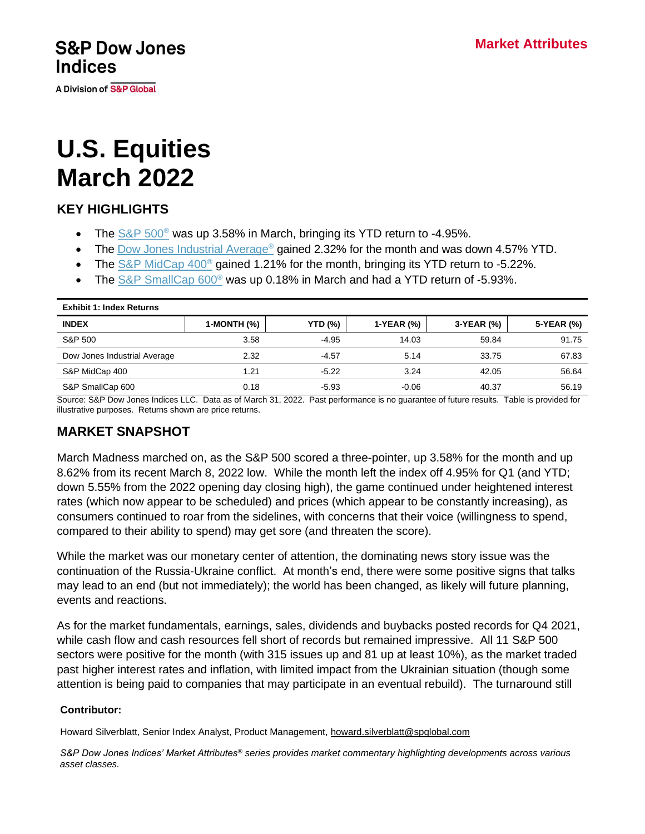**S&P Dow Jones Indices** 

**A Division of S&P Global** 

# **U.S. Equities March 2022**

# **KEY HIGHLIGHTS**

- The  $S\&P 500^{\circ}$  was up 3.58% in March, bringing its YTD return to -4.95%.
- The [Dow Jones Industrial Average](http://spdji.com/indices/equity/dow-jones-industrial-average?utm_source=pdf_commentary)<sup>®</sup> gained 2.32% for the month and was down 4.57% YTD.
- The S&P MidCap  $400^\circ$  gained 1.21% for the month, bringing its YTD return to -5.22%.
- The [S&P SmallCap 600](http://spdji.com/indices/equity/sp-600?utm_source=pdf_commentary)<sup>®</sup> was up 0.18% in March and had a YTD return of -5.93%.

| <b>Exhibit 1: Index Returns</b> |             |                |            |            |            |  |  |
|---------------------------------|-------------|----------------|------------|------------|------------|--|--|
| <b>INDEX</b>                    | 1-MONTH (%) | <b>YTD (%)</b> | 1-YEAR (%) | 3-YEAR (%) | 5-YEAR (%) |  |  |
| S&P 500                         | 3.58        | $-4.95$        | 14.03      | 59.84      | 91.75      |  |  |
| Dow Jones Industrial Average    | 2.32        | $-4.57$        | 5.14       | 33.75      | 67.83      |  |  |
| S&P MidCap 400                  | 1.21        | $-5.22$        | 3.24       | 42.05      | 56.64      |  |  |
| S&P SmallCap 600                | 0.18        | $-5.93$        | $-0.06$    | 40.37      | 56.19      |  |  |

Source: S&P Dow Jones Indices LLC. Data as of March 31, 2022. Past performance is no guarantee of future results. Table is provided for illustrative purposes. Returns shown are price returns.

## **MARKET SNAPSHOT**

March Madness marched on, as the S&P 500 scored a three-pointer, up 3.58% for the month and up 8.62% from its recent March 8, 2022 low. While the month left the index off 4.95% for Q1 (and YTD; down 5.55% from the 2022 opening day closing high), the game continued under heightened interest rates (which now appear to be scheduled) and prices (which appear to be constantly increasing), as consumers continued to roar from the sidelines, with concerns that their voice (willingness to spend, compared to their ability to spend) may get sore (and threaten the score).

While the market was our monetary center of attention, the dominating news story issue was the continuation of the Russia-Ukraine conflict. At month's end, there were some positive signs that talks may lead to an end (but not immediately); the world has been changed, as likely will future planning, events and reactions.

As for the market fundamentals, earnings, sales, dividends and buybacks posted records for Q4 2021, while cash flow and cash resources fell short of records but remained impressive. All 11 S&P 500 sectors were positive for the month (with 315 issues up and 81 up at least 10%), as the market traded past higher interest rates and inflation, with limited impact from the Ukrainian situation (though some attention is being paid to companies that may participate in an eventual rebuild). The turnaround still

#### **Contributor:**

Howard Silverblatt, Senior Index Analyst, Product Management, [howard.silverblatt@spglobal.com](mailto:howard.silverblatt@spglobal.com)

*S&P Dow Jones Indices' Market Attributes® series provides market commentary highlighting developments across various asset classes.*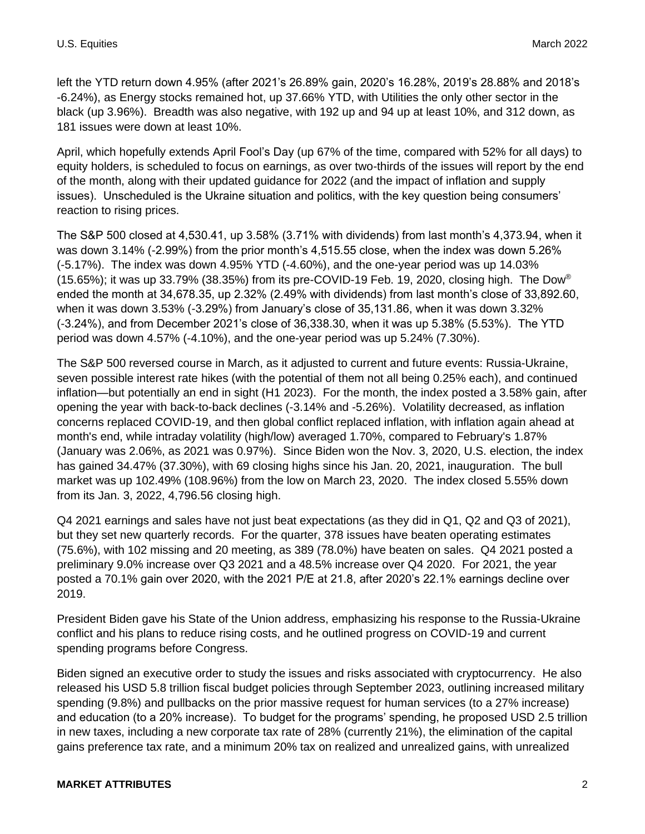left the YTD return down 4.95% (after 2021's 26.89% gain, 2020's 16.28%, 2019's 28.88% and 2018's -6.24%), as Energy stocks remained hot, up 37.66% YTD, with Utilities the only other sector in the black (up 3.96%). Breadth was also negative, with 192 up and 94 up at least 10%, and 312 down, as 181 issues were down at least 10%.

April, which hopefully extends April Fool's Day (up 67% of the time, compared with 52% for all days) to equity holders, is scheduled to focus on earnings, as over two-thirds of the issues will report by the end of the month, along with their updated guidance for 2022 (and the impact of inflation and supply issues). Unscheduled is the Ukraine situation and politics, with the key question being consumers' reaction to rising prices.

The S&P 500 closed at 4,530.41, up 3.58% (3.71% with dividends) from last month's 4,373.94, when it was down 3.14% (-2.99%) from the prior month's 4,515.55 close, when the index was down 5.26% (-5.17%). The index was down 4.95% YTD (-4.60%), and the one-year period was up 14.03%  $(15.65\%)$ ; it was up 33.79% (38.35%) from its pre-COVID-19 Feb. 19, 2020, closing high. The Dow<sup>®</sup> ended the month at 34,678.35, up 2.32% (2.49% with dividends) from last month's close of 33,892.60, when it was down 3.53% (-3.29%) from January's close of 35,131.86, when it was down 3.32% (-3.24%), and from December 2021's close of 36,338.30, when it was up 5.38% (5.53%). The YTD period was down 4.57% (-4.10%), and the one-year period was up 5.24% (7.30%).

The S&P 500 reversed course in March, as it adjusted to current and future events: Russia-Ukraine, seven possible interest rate hikes (with the potential of them not all being 0.25% each), and continued inflation—but potentially an end in sight (H1 2023). For the month, the index posted a 3.58% gain, after opening the year with back-to-back declines (-3.14% and -5.26%). Volatility decreased, as inflation concerns replaced COVID-19, and then global conflict replaced inflation, with inflation again ahead at month's end, while intraday volatility (high/low) averaged 1.70%, compared to February's 1.87% (January was 2.06%, as 2021 was 0.97%). Since Biden won the Nov. 3, 2020, U.S. election, the index has gained 34.47% (37.30%), with 69 closing highs since his Jan. 20, 2021, inauguration. The bull market was up 102.49% (108.96%) from the low on March 23, 2020. The index closed 5.55% down from its Jan. 3, 2022, 4,796.56 closing high.

Q4 2021 earnings and sales have not just beat expectations (as they did in Q1, Q2 and Q3 of 2021), but they set new quarterly records. For the quarter, 378 issues have beaten operating estimates (75.6%), with 102 missing and 20 meeting, as 389 (78.0%) have beaten on sales. Q4 2021 posted a preliminary 9.0% increase over Q3 2021 and a 48.5% increase over Q4 2020. For 2021, the year posted a 70.1% gain over 2020, with the 2021 P/E at 21.8, after 2020's 22.1% earnings decline over 2019.

President Biden gave his State of the Union address, emphasizing his response to the Russia-Ukraine conflict and his plans to reduce rising costs, and he outlined progress on COVID-19 and current spending programs before Congress.

Biden signed an executive order to study the issues and risks associated with cryptocurrency. He also released his USD 5.8 trillion fiscal budget policies through September 2023, outlining increased military spending (9.8%) and pullbacks on the prior massive request for human services (to a 27% increase) and education (to a 20% increase). To budget for the programs' spending, he proposed USD 2.5 trillion in new taxes, including a new corporate tax rate of 28% (currently 21%), the elimination of the capital gains preference tax rate, and a minimum 20% tax on realized and unrealized gains, with unrealized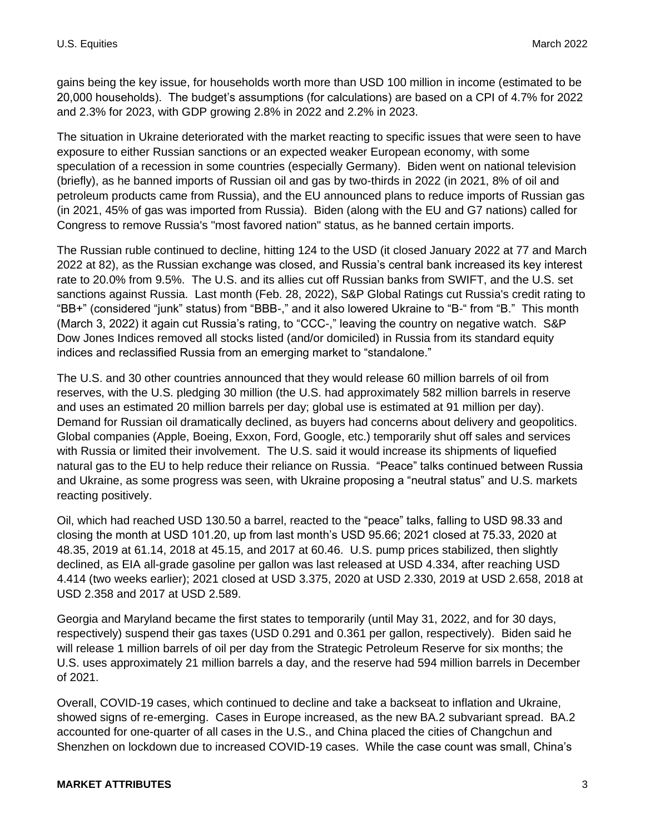gains being the key issue, for households worth more than USD 100 million in income (estimated to be 20,000 households). The budget's assumptions (for calculations) are based on a CPI of 4.7% for 2022 and 2.3% for 2023, with GDP growing 2.8% in 2022 and 2.2% in 2023.

The situation in Ukraine deteriorated with the market reacting to specific issues that were seen to have exposure to either Russian sanctions or an expected weaker European economy, with some speculation of a recession in some countries (especially Germany). Biden went on national television (briefly), as he banned imports of Russian oil and gas by two-thirds in 2022 (in 2021, 8% of oil and petroleum products came from Russia), and the EU announced plans to reduce imports of Russian gas (in 2021, 45% of gas was imported from Russia). Biden (along with the EU and G7 nations) called for Congress to remove Russia's "most favored nation" status, as he banned certain imports.

The Russian ruble continued to decline, hitting 124 to the USD (it closed January 2022 at 77 and March 2022 at 82), as the Russian exchange was closed, and Russia's central bank increased its key interest rate to 20.0% from 9.5%. The U.S. and its allies cut off Russian banks from SWIFT, and the U.S. set sanctions against Russia. Last month (Feb. 28, 2022), S&P Global Ratings cut Russia's credit rating to "BB+" (considered "junk" status) from "BBB-," and it also lowered Ukraine to "B-" from "B." This month (March 3, 2022) it again cut Russia's rating, to "CCC-," leaving the country on negative watch. S&P Dow Jones Indices removed all stocks listed (and/or domiciled) in Russia from its standard equity indices and reclassified Russia from an emerging market to "standalone."

The U.S. and 30 other countries announced that they would release 60 million barrels of oil from reserves, with the U.S. pledging 30 million (the U.S. had approximately 582 million barrels in reserve and uses an estimated 20 million barrels per day; global use is estimated at 91 million per day). Demand for Russian oil dramatically declined, as buyers had concerns about delivery and geopolitics. Global companies (Apple, Boeing, Exxon, Ford, Google, etc.) temporarily shut off sales and services with Russia or limited their involvement. The U.S. said it would increase its shipments of liquefied natural gas to the EU to help reduce their reliance on Russia. "Peace" talks continued between Russia and Ukraine, as some progress was seen, with Ukraine proposing a "neutral status" and U.S. markets reacting positively.

Oil, which had reached USD 130.50 a barrel, reacted to the "peace" talks, falling to USD 98.33 and closing the month at USD 101.20, up from last month's USD 95.66; 2021 closed at 75.33, 2020 at 48.35, 2019 at 61.14, 2018 at 45.15, and 2017 at 60.46. U.S. pump prices stabilized, then slightly declined, as EIA all-grade gasoline per gallon was last released at USD 4.334, after reaching USD 4.414 (two weeks earlier); 2021 closed at USD 3.375, 2020 at USD 2.330, 2019 at USD 2.658, 2018 at USD 2.358 and 2017 at USD 2.589.

Georgia and Maryland became the first states to temporarily (until May 31, 2022, and for 30 days, respectively) suspend their gas taxes (USD 0.291 and 0.361 per gallon, respectively). Biden said he will release 1 million barrels of oil per day from the Strategic Petroleum Reserve for six months; the U.S. uses approximately 21 million barrels a day, and the reserve had 594 million barrels in December of 2021.

Overall, COVID-19 cases, which continued to decline and take a backseat to inflation and Ukraine, showed signs of re-emerging. Cases in Europe increased, as the new BA.2 subvariant spread. BA.2 accounted for one-quarter of all cases in the U.S., and China placed the cities of Changchun and Shenzhen on lockdown due to increased COVID-19 cases. While the case count was small, China's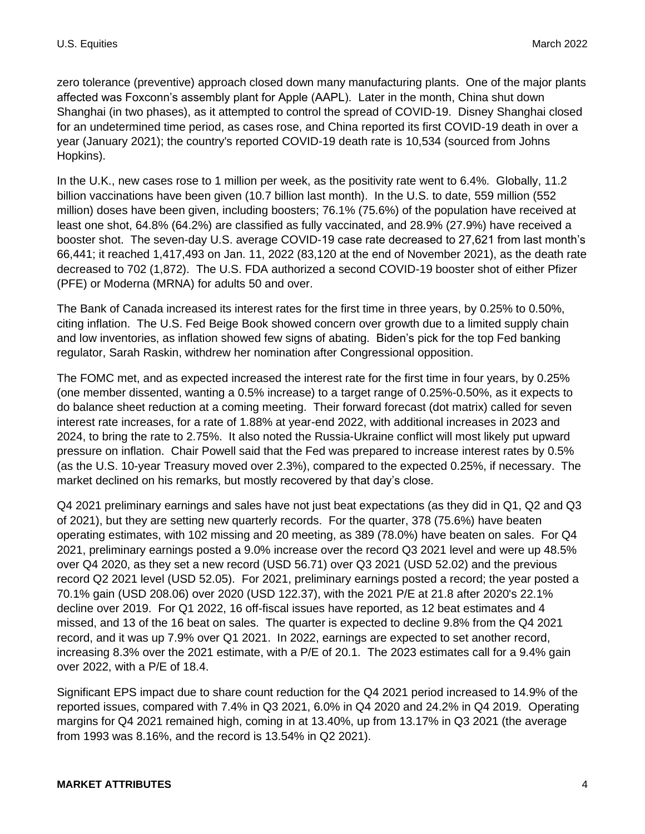zero tolerance (preventive) approach closed down many manufacturing plants. One of the major plants affected was Foxconn's assembly plant for Apple (AAPL). Later in the month, China shut down Shanghai (in two phases), as it attempted to control the spread of COVID-19. Disney Shanghai closed for an undetermined time period, as cases rose, and China reported its first COVID-19 death in over a year (January 2021); the country's reported COVID-19 death rate is 10,534 (sourced from Johns Hopkins).

In the U.K., new cases rose to 1 million per week, as the positivity rate went to 6.4%. Globally, 11.2 billion vaccinations have been given (10.7 billion last month). In the U.S. to date, 559 million (552 million) doses have been given, including boosters; 76.1% (75.6%) of the population have received at least one shot, 64.8% (64.2%) are classified as fully vaccinated, and 28.9% (27.9%) have received a booster shot. The seven-day U.S. average COVID-19 case rate decreased to 27,621 from last month's 66,441; it reached 1,417,493 on Jan. 11, 2022 (83,120 at the end of November 2021), as the death rate decreased to 702 (1,872). The U.S. FDA authorized a second COVID-19 booster shot of either Pfizer (PFE) or Moderna (MRNA) for adults 50 and over.

The Bank of Canada increased its interest rates for the first time in three years, by 0.25% to 0.50%, citing inflation. The U.S. Fed Beige Book showed concern over growth due to a limited supply chain and low inventories, as inflation showed few signs of abating. Biden's pick for the top Fed banking regulator, Sarah Raskin, withdrew her nomination after Congressional opposition.

The FOMC met, and as expected increased the interest rate for the first time in four years, by 0.25% (one member dissented, wanting a 0.5% increase) to a target range of 0.25%-0.50%, as it expects to do balance sheet reduction at a coming meeting. Their forward forecast (dot matrix) called for seven interest rate increases, for a rate of 1.88% at year-end 2022, with additional increases in 2023 and 2024, to bring the rate to 2.75%. It also noted the Russia-Ukraine conflict will most likely put upward pressure on inflation. Chair Powell said that the Fed was prepared to increase interest rates by 0.5% (as the U.S. 10-year Treasury moved over 2.3%), compared to the expected 0.25%, if necessary. The market declined on his remarks, but mostly recovered by that day's close.

Q4 2021 preliminary earnings and sales have not just beat expectations (as they did in Q1, Q2 and Q3 of 2021), but they are setting new quarterly records. For the quarter, 378 (75.6%) have beaten operating estimates, with 102 missing and 20 meeting, as 389 (78.0%) have beaten on sales. For Q4 2021, preliminary earnings posted a 9.0% increase over the record Q3 2021 level and were up 48.5% over Q4 2020, as they set a new record (USD 56.71) over Q3 2021 (USD 52.02) and the previous record Q2 2021 level (USD 52.05). For 2021, preliminary earnings posted a record; the year posted a 70.1% gain (USD 208.06) over 2020 (USD 122.37), with the 2021 P/E at 21.8 after 2020's 22.1% decline over 2019. For Q1 2022, 16 off-fiscal issues have reported, as 12 beat estimates and 4 missed, and 13 of the 16 beat on sales. The quarter is expected to decline 9.8% from the Q4 2021 record, and it was up 7.9% over Q1 2021. In 2022, earnings are expected to set another record, increasing 8.3% over the 2021 estimate, with a P/E of 20.1. The 2023 estimates call for a 9.4% gain over 2022, with a P/E of 18.4.

Significant EPS impact due to share count reduction for the Q4 2021 period increased to 14.9% of the reported issues, compared with 7.4% in Q3 2021, 6.0% in Q4 2020 and 24.2% in Q4 2019. Operating margins for Q4 2021 remained high, coming in at 13.40%, up from 13.17% in Q3 2021 (the average from 1993 was 8.16%, and the record is 13.54% in Q2 2021).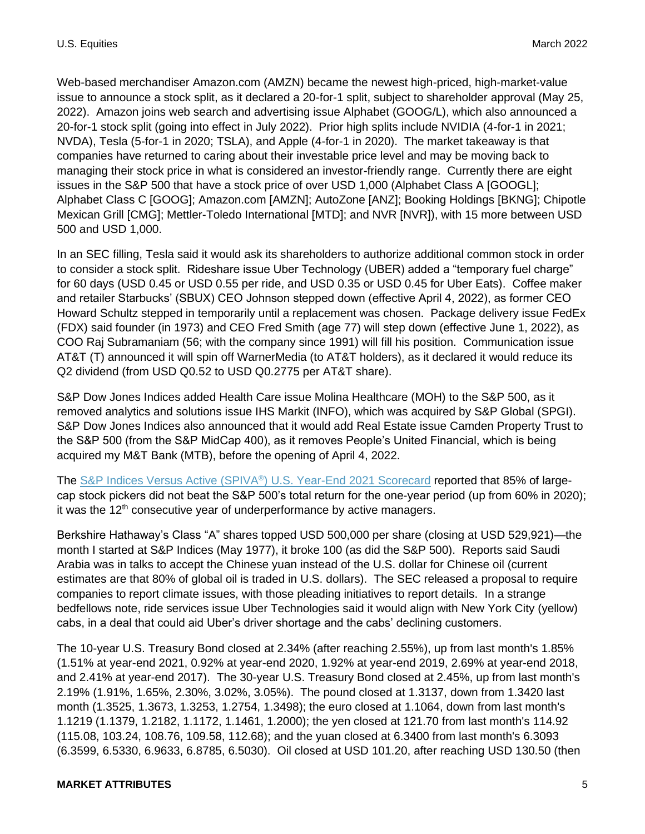Web-based merchandiser Amazon.com (AMZN) became the newest high-priced, high-market-value issue to announce a stock split, as it declared a 20-for-1 split, subject to shareholder approval (May 25, 2022). Amazon joins web search and advertising issue Alphabet (GOOG/L), which also announced a 20-for-1 stock split (going into effect in July 2022). Prior high splits include NVIDIA (4-for-1 in 2021; NVDA), Tesla (5-for-1 in 2020; TSLA), and Apple (4-for-1 in 2020). The market takeaway is that companies have returned to caring about their investable price level and may be moving back to managing their stock price in what is considered an investor-friendly range. Currently there are eight issues in the S&P 500 that have a stock price of over USD 1,000 (Alphabet Class A [GOOGL]; Alphabet Class C [GOOG]; Amazon.com [AMZN]; AutoZone [ANZ]; Booking Holdings [BKNG]; Chipotle Mexican Grill [CMG]; Mettler-Toledo International [MTD]; and NVR [NVR]), with 15 more between USD 500 and USD 1,000.

In an SEC filling, Tesla said it would ask its shareholders to authorize additional common stock in order to consider a stock split. Rideshare issue Uber Technology (UBER) added a "temporary fuel charge" for 60 days (USD 0.45 or USD 0.55 per ride, and USD 0.35 or USD 0.45 for Uber Eats). Coffee maker and retailer Starbucks' (SBUX) CEO Johnson stepped down (effective April 4, 2022), as former CEO Howard Schultz stepped in temporarily until a replacement was chosen. Package delivery issue FedEx (FDX) said founder (in 1973) and CEO Fred Smith (age 77) will step down (effective June 1, 2022), as COO Raj Subramaniam (56; with the company since 1991) will fill his position. Communication issue AT&T (T) announced it will spin off WarnerMedia (to AT&T holders), as it declared it would reduce its Q2 dividend (from USD Q0.52 to USD Q0.2775 per AT&T share).

S&P Dow Jones Indices added Health Care issue Molina Healthcare (MOH) to the S&P 500, as it removed analytics and solutions issue IHS Markit (INFO), which was acquired by S&P Global (SPGI). S&P Dow Jones Indices also announced that it would add Real Estate issue Camden Property Trust to the S&P 500 (from the S&P MidCap 400), as it removes People's United Financial, which is being acquired my M&T Bank (MTB), before the opening of April 4, 2022.

The [S&P Indices Versus Active \(SPIVA](https://www.spglobal.com/spdji/en/spiva/article/spiva-us/?utm_source=pdf_commentary)®) U.S. Year-End 2021 Scorecard reported that 85% of largecap stock pickers did not beat the S&P 500's total return for the one-year period (up from 60% in 2020); it was the  $12<sup>th</sup>$  consecutive year of underperformance by active managers.

Berkshire Hathaway's Class "A" shares topped USD 500,000 per share (closing at USD 529,921)—the month I started at S&P Indices (May 1977), it broke 100 (as did the S&P 500). Reports said Saudi Arabia was in talks to accept the Chinese yuan instead of the U.S. dollar for Chinese oil (current estimates are that 80% of global oil is traded in U.S. dollars). The SEC released a proposal to require companies to report climate issues, with those pleading initiatives to report details. In a strange bedfellows note, ride services issue Uber Technologies said it would align with New York City (yellow) cabs, in a deal that could aid Uber's driver shortage and the cabs' declining customers.

The 10-year U.S. Treasury Bond closed at 2.34% (after reaching 2.55%), up from last month's 1.85% (1.51% at year-end 2021, 0.92% at year-end 2020, 1.92% at year-end 2019, 2.69% at year-end 2018, and 2.41% at year-end 2017). The 30-year U.S. Treasury Bond closed at 2.45%, up from last month's 2.19% (1.91%, 1.65%, 2.30%, 3.02%, 3.05%). The pound closed at 1.3137, down from 1.3420 last month (1.3525, 1.3673, 1.3253, 1.2754, 1.3498); the euro closed at 1.1064, down from last month's 1.1219 (1.1379, 1.2182, 1.1172, 1.1461, 1.2000); the yen closed at 121.70 from last month's 114.92 (115.08, 103.24, 108.76, 109.58, 112.68); and the yuan closed at 6.3400 from last month's 6.3093 (6.3599, 6.5330, 6.9633, 6.8785, 6.5030). Oil closed at USD 101.20, after reaching USD 130.50 (then

#### **MARKET ATTRIBUTES** 5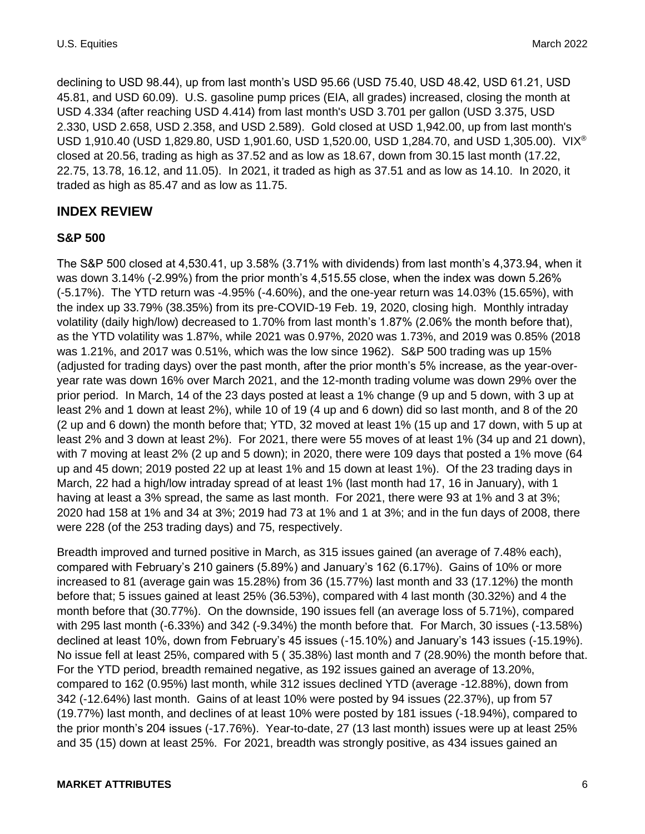declining to USD 98.44), up from last month's USD 95.66 (USD 75.40, USD 48.42, USD 61.21, USD 45.81, and USD 60.09). U.S. gasoline pump prices (EIA, all grades) increased, closing the month at USD 4.334 (after reaching USD 4.414) from last month's USD 3.701 per gallon (USD 3.375, USD 2.330, USD 2.658, USD 2.358, and USD 2.589). Gold closed at USD 1,942.00, up from last month's USD 1,910.40 (USD 1,829.80, USD 1,901.60, USD 1,520.00, USD 1,284.70, and USD 1,305.00). VIX® closed at 20.56, trading as high as 37.52 and as low as 18.67, down from 30.15 last month (17.22, 22.75, 13.78, 16.12, and 11.05). In 2021, it traded as high as 37.51 and as low as 14.10. In 2020, it traded as high as 85.47 and as low as 11.75.

#### **INDEX REVIEW**

#### **S&P 500**

The S&P 500 closed at 4,530.41, up 3.58% (3.71% with dividends) from last month's 4,373.94, when it was down 3.14% (-2.99%) from the prior month's 4,515.55 close, when the index was down 5.26% (-5.17%). The YTD return was -4.95% (-4.60%), and the one-year return was 14.03% (15.65%), with the index up 33.79% (38.35%) from its pre-COVID-19 Feb. 19, 2020, closing high. Monthly intraday volatility (daily high/low) decreased to 1.70% from last month's 1.87% (2.06% the month before that), as the YTD volatility was 1.87%, while 2021 was 0.97%, 2020 was 1.73%, and 2019 was 0.85% (2018 was 1.21%, and 2017 was 0.51%, which was the low since 1962). S&P 500 trading was up 15% (adjusted for trading days) over the past month, after the prior month's 5% increase, as the year-overyear rate was down 16% over March 2021, and the 12-month trading volume was down 29% over the prior period. In March, 14 of the 23 days posted at least a 1% change (9 up and 5 down, with 3 up at least 2% and 1 down at least 2%), while 10 of 19 (4 up and 6 down) did so last month, and 8 of the 20 (2 up and 6 down) the month before that; YTD, 32 moved at least 1% (15 up and 17 down, with 5 up at least 2% and 3 down at least 2%). For 2021, there were 55 moves of at least 1% (34 up and 21 down), with 7 moving at least 2% (2 up and 5 down); in 2020, there were 109 days that posted a 1% move (64 up and 45 down; 2019 posted 22 up at least 1% and 15 down at least 1%). Of the 23 trading days in March, 22 had a high/low intraday spread of at least 1% (last month had 17, 16 in January), with 1 having at least a 3% spread, the same as last month. For 2021, there were 93 at 1% and 3 at 3%; 2020 had 158 at 1% and 34 at 3%; 2019 had 73 at 1% and 1 at 3%; and in the fun days of 2008, there were 228 (of the 253 trading days) and 75, respectively.

Breadth improved and turned positive in March, as 315 issues gained (an average of 7.48% each), compared with February's 210 gainers (5.89%) and January's 162 (6.17%). Gains of 10% or more increased to 81 (average gain was 15.28%) from 36 (15.77%) last month and 33 (17.12%) the month before that; 5 issues gained at least 25% (36.53%), compared with 4 last month (30.32%) and 4 the month before that (30.77%). On the downside, 190 issues fell (an average loss of 5.71%), compared with 295 last month (-6.33%) and 342 (-9.34%) the month before that. For March, 30 issues (-13.58%) declined at least 10%, down from February's 45 issues (-15.10%) and January's 143 issues (-15.19%). No issue fell at least 25%, compared with 5 ( 35.38%) last month and 7 (28.90%) the month before that. For the YTD period, breadth remained negative, as 192 issues gained an average of 13.20%, compared to 162 (0.95%) last month, while 312 issues declined YTD (average -12.88%), down from 342 (-12.64%) last month. Gains of at least 10% were posted by 94 issues (22.37%), up from 57 (19.77%) last month, and declines of at least 10% were posted by 181 issues (-18.94%), compared to the prior month's 204 issues (-17.76%). Year-to-date, 27 (13 last month) issues were up at least 25% and 35 (15) down at least 25%. For 2021, breadth was strongly positive, as 434 issues gained an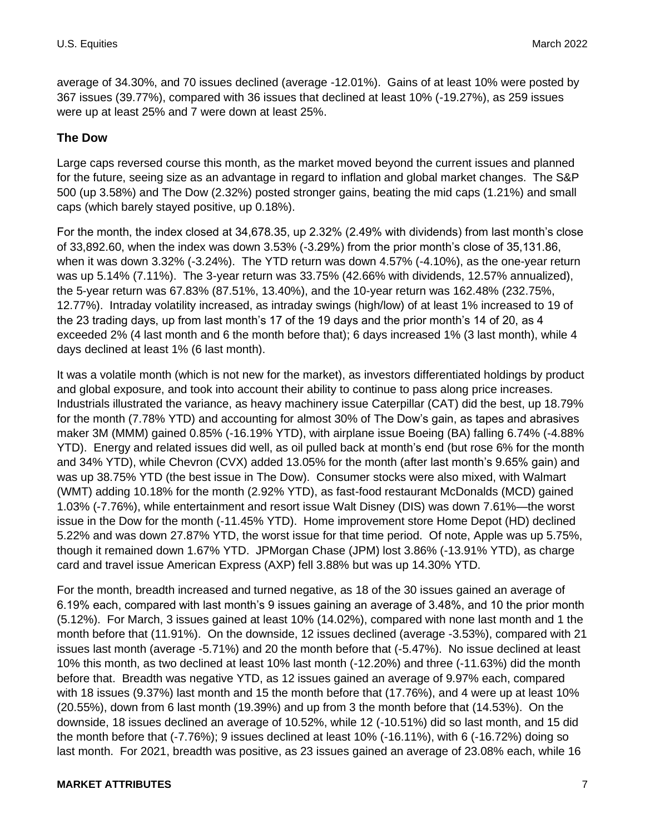average of 34.30%, and 70 issues declined (average -12.01%). Gains of at least 10% were posted by 367 issues (39.77%), compared with 36 issues that declined at least 10% (-19.27%), as 259 issues were up at least 25% and 7 were down at least 25%.

#### **The Dow**

Large caps reversed course this month, as the market moved beyond the current issues and planned for the future, seeing size as an advantage in regard to inflation and global market changes. The S&P 500 (up 3.58%) and The Dow (2.32%) posted stronger gains, beating the mid caps (1.21%) and small caps (which barely stayed positive, up 0.18%).

For the month, the index closed at 34,678.35, up 2.32% (2.49% with dividends) from last month's close of 33,892.60, when the index was down 3.53% (-3.29%) from the prior month's close of 35,131.86, when it was down 3.32% (-3.24%). The YTD return was down 4.57% (-4.10%), as the one-year return was up 5.14% (7.11%). The 3-year return was 33.75% (42.66% with dividends, 12.57% annualized), the 5-year return was 67.83% (87.51%, 13.40%), and the 10-year return was 162.48% (232.75%, 12.77%). Intraday volatility increased, as intraday swings (high/low) of at least 1% increased to 19 of the 23 trading days, up from last month's 17 of the 19 days and the prior month's 14 of 20, as 4 exceeded 2% (4 last month and 6 the month before that); 6 days increased 1% (3 last month), while 4 days declined at least 1% (6 last month).

It was a volatile month (which is not new for the market), as investors differentiated holdings by product and global exposure, and took into account their ability to continue to pass along price increases. Industrials illustrated the variance, as heavy machinery issue Caterpillar (CAT) did the best, up 18.79% for the month (7.78% YTD) and accounting for almost 30% of The Dow's gain, as tapes and abrasives maker 3M (MMM) gained 0.85% (-16.19% YTD), with airplane issue Boeing (BA) falling 6.74% (-4.88% YTD). Energy and related issues did well, as oil pulled back at month's end (but rose 6% for the month and 34% YTD), while Chevron (CVX) added 13.05% for the month (after last month's 9.65% gain) and was up 38.75% YTD (the best issue in The Dow). Consumer stocks were also mixed, with Walmart (WMT) adding 10.18% for the month (2.92% YTD), as fast-food restaurant McDonalds (MCD) gained 1.03% (-7.76%), while entertainment and resort issue Walt Disney (DIS) was down 7.61%—the worst issue in the Dow for the month (-11.45% YTD). Home improvement store Home Depot (HD) declined 5.22% and was down 27.87% YTD, the worst issue for that time period. Of note, Apple was up 5.75%, though it remained down 1.67% YTD. JPMorgan Chase (JPM) lost 3.86% (-13.91% YTD), as charge card and travel issue American Express (AXP) fell 3.88% but was up 14.30% YTD.

For the month, breadth increased and turned negative, as 18 of the 30 issues gained an average of 6.19% each, compared with last month's 9 issues gaining an average of 3.48%, and 10 the prior month (5.12%). For March, 3 issues gained at least 10% (14.02%), compared with none last month and 1 the month before that (11.91%). On the downside, 12 issues declined (average -3.53%), compared with 21 issues last month (average -5.71%) and 20 the month before that (-5.47%). No issue declined at least 10% this month, as two declined at least 10% last month (-12.20%) and three (-11.63%) did the month before that. Breadth was negative YTD, as 12 issues gained an average of 9.97% each, compared with 18 issues (9.37%) last month and 15 the month before that (17.76%), and 4 were up at least 10% (20.55%), down from 6 last month (19.39%) and up from 3 the month before that (14.53%). On the downside, 18 issues declined an average of 10.52%, while 12 (-10.51%) did so last month, and 15 did the month before that (-7.76%); 9 issues declined at least 10% (-16.11%), with 6 (-16.72%) doing so last month. For 2021, breadth was positive, as 23 issues gained an average of 23.08% each, while 16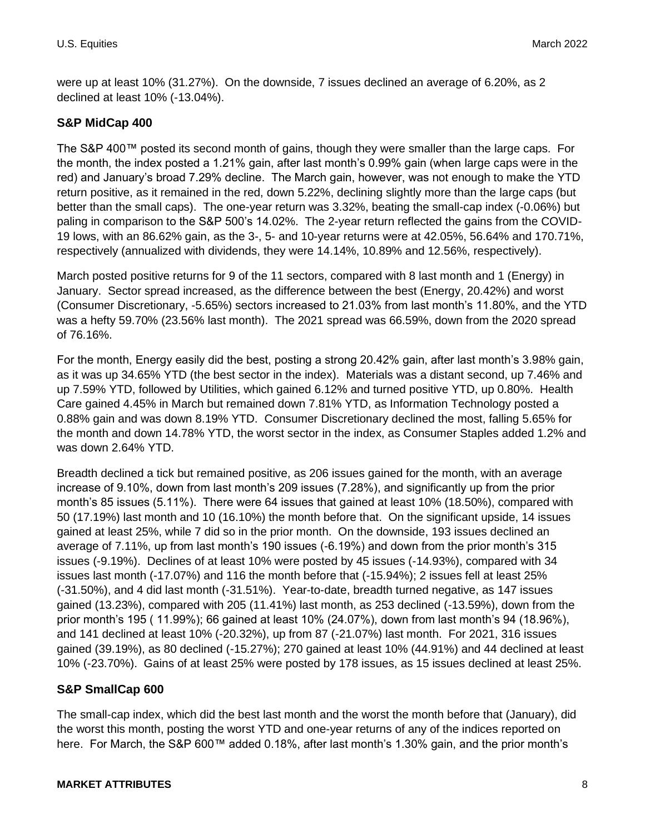were up at least 10% (31.27%). On the downside, 7 issues declined an average of 6.20%, as 2 declined at least 10% (-13.04%).

#### **S&P MidCap 400**

The S&P 400™ posted its second month of gains, though they were smaller than the large caps. For the month, the index posted a 1.21% gain, after last month's 0.99% gain (when large caps were in the red) and January's broad 7.29% decline. The March gain, however, was not enough to make the YTD return positive, as it remained in the red, down 5.22%, declining slightly more than the large caps (but better than the small caps). The one-year return was 3.32%, beating the small-cap index (-0.06%) but paling in comparison to the S&P 500's 14.02%. The 2-year return reflected the gains from the COVID-19 lows, with an 86.62% gain, as the 3-, 5- and 10-year returns were at 42.05%, 56.64% and 170.71%, respectively (annualized with dividends, they were 14.14%, 10.89% and 12.56%, respectively).

March posted positive returns for 9 of the 11 sectors, compared with 8 last month and 1 (Energy) in January. Sector spread increased, as the difference between the best (Energy, 20.42%) and worst (Consumer Discretionary, -5.65%) sectors increased to 21.03% from last month's 11.80%, and the YTD was a hefty 59.70% (23.56% last month). The 2021 spread was 66.59%, down from the 2020 spread of 76.16%.

For the month, Energy easily did the best, posting a strong 20.42% gain, after last month's 3.98% gain, as it was up 34.65% YTD (the best sector in the index). Materials was a distant second, up 7.46% and up 7.59% YTD, followed by Utilities, which gained 6.12% and turned positive YTD, up 0.80%. Health Care gained 4.45% in March but remained down 7.81% YTD, as Information Technology posted a 0.88% gain and was down 8.19% YTD. Consumer Discretionary declined the most, falling 5.65% for the month and down 14.78% YTD, the worst sector in the index, as Consumer Staples added 1.2% and was down 2.64% YTD.

Breadth declined a tick but remained positive, as 206 issues gained for the month, with an average increase of 9.10%, down from last month's 209 issues (7.28%), and significantly up from the prior month's 85 issues (5.11%). There were 64 issues that gained at least 10% (18.50%), compared with 50 (17.19%) last month and 10 (16.10%) the month before that. On the significant upside, 14 issues gained at least 25%, while 7 did so in the prior month. On the downside, 193 issues declined an average of 7.11%, up from last month's 190 issues (-6.19%) and down from the prior month's 315 issues (-9.19%). Declines of at least 10% were posted by 45 issues (-14.93%), compared with 34 issues last month (-17.07%) and 116 the month before that (-15.94%); 2 issues fell at least 25% (-31.50%), and 4 did last month (-31.51%). Year-to-date, breadth turned negative, as 147 issues gained (13.23%), compared with 205 (11.41%) last month, as 253 declined (-13.59%), down from the prior month's 195 ( 11.99%); 66 gained at least 10% (24.07%), down from last month's 94 (18.96%), and 141 declined at least 10% (-20.32%), up from 87 (-21.07%) last month. For 2021, 316 issues gained (39.19%), as 80 declined (-15.27%); 270 gained at least 10% (44.91%) and 44 declined at least 10% (-23.70%). Gains of at least 25% were posted by 178 issues, as 15 issues declined at least 25%.

## **S&P SmallCap 600**

The small-cap index, which did the best last month and the worst the month before that (January), did the worst this month, posting the worst YTD and one-year returns of any of the indices reported on here. For March, the S&P 600™ added 0.18%, after last month's 1.30% gain, and the prior month's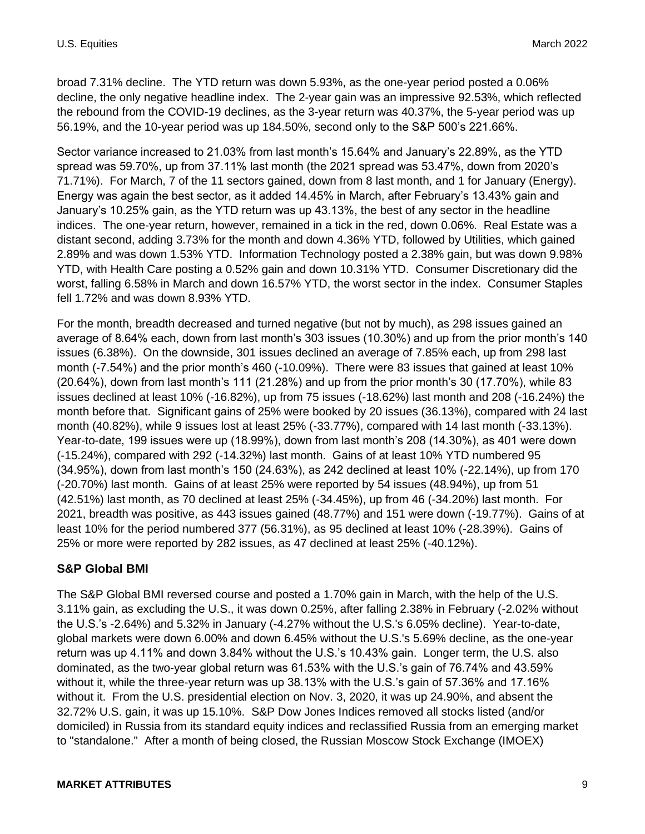broad 7.31% decline. The YTD return was down 5.93%, as the one-year period posted a 0.06% decline, the only negative headline index. The 2-year gain was an impressive 92.53%, which reflected the rebound from the COVID-19 declines, as the 3-year return was 40.37%, the 5-year period was up 56.19%, and the 10-year period was up 184.50%, second only to the S&P 500's 221.66%.

Sector variance increased to 21.03% from last month's 15.64% and January's 22.89%, as the YTD spread was 59.70%, up from 37.11% last month (the 2021 spread was 53.47%, down from 2020's 71.71%). For March, 7 of the 11 sectors gained, down from 8 last month, and 1 for January (Energy). Energy was again the best sector, as it added 14.45% in March, after February's 13.43% gain and January's 10.25% gain, as the YTD return was up 43.13%, the best of any sector in the headline indices. The one-year return, however, remained in a tick in the red, down 0.06%. Real Estate was a distant second, adding 3.73% for the month and down 4.36% YTD, followed by Utilities, which gained 2.89% and was down 1.53% YTD. Information Technology posted a 2.38% gain, but was down 9.98% YTD, with Health Care posting a 0.52% gain and down 10.31% YTD. Consumer Discretionary did the worst, falling 6.58% in March and down 16.57% YTD, the worst sector in the index. Consumer Staples fell 1.72% and was down 8.93% YTD.

For the month, breadth decreased and turned negative (but not by much), as 298 issues gained an average of 8.64% each, down from last month's 303 issues (10.30%) and up from the prior month's 140 issues (6.38%). On the downside, 301 issues declined an average of 7.85% each, up from 298 last month (-7.54%) and the prior month's 460 (-10.09%). There were 83 issues that gained at least 10% (20.64%), down from last month's 111 (21.28%) and up from the prior month's 30 (17.70%), while 83 issues declined at least 10% (-16.82%), up from 75 issues (-18.62%) last month and 208 (-16.24%) the month before that. Significant gains of 25% were booked by 20 issues (36.13%), compared with 24 last month (40.82%), while 9 issues lost at least 25% (-33.77%), compared with 14 last month (-33.13%). Year-to-date, 199 issues were up (18.99%), down from last month's 208 (14.30%), as 401 were down (-15.24%), compared with 292 (-14.32%) last month. Gains of at least 10% YTD numbered 95 (34.95%), down from last month's 150 (24.63%), as 242 declined at least 10% (-22.14%), up from 170 (-20.70%) last month. Gains of at least 25% were reported by 54 issues (48.94%), up from 51 (42.51%) last month, as 70 declined at least 25% (-34.45%), up from 46 (-34.20%) last month. For 2021, breadth was positive, as 443 issues gained (48.77%) and 151 were down (-19.77%). Gains of at least 10% for the period numbered 377 (56.31%), as 95 declined at least 10% (-28.39%). Gains of 25% or more were reported by 282 issues, as 47 declined at least 25% (-40.12%).

## **S&P Global BMI**

The S&P Global BMI reversed course and posted a 1.70% gain in March, with the help of the U.S. 3.11% gain, as excluding the U.S., it was down 0.25%, after falling 2.38% in February (-2.02% without the U.S.'s -2.64%) and 5.32% in January (-4.27% without the U.S.'s 6.05% decline). Year-to-date, global markets were down 6.00% and down 6.45% without the U.S.'s 5.69% decline, as the one-year return was up 4.11% and down 3.84% without the U.S.'s 10.43% gain. Longer term, the U.S. also dominated, as the two-year global return was 61.53% with the U.S.'s gain of 76.74% and 43.59% without it, while the three-year return was up 38.13% with the U.S.'s gain of 57.36% and 17.16% without it. From the U.S. presidential election on Nov. 3, 2020, it was up 24.90%, and absent the 32.72% U.S. gain, it was up 15.10%. S&P Dow Jones Indices removed all stocks listed (and/or domiciled) in Russia from its standard equity indices and reclassified Russia from an emerging market to "standalone." After a month of being closed, the Russian Moscow Stock Exchange (IMOEX)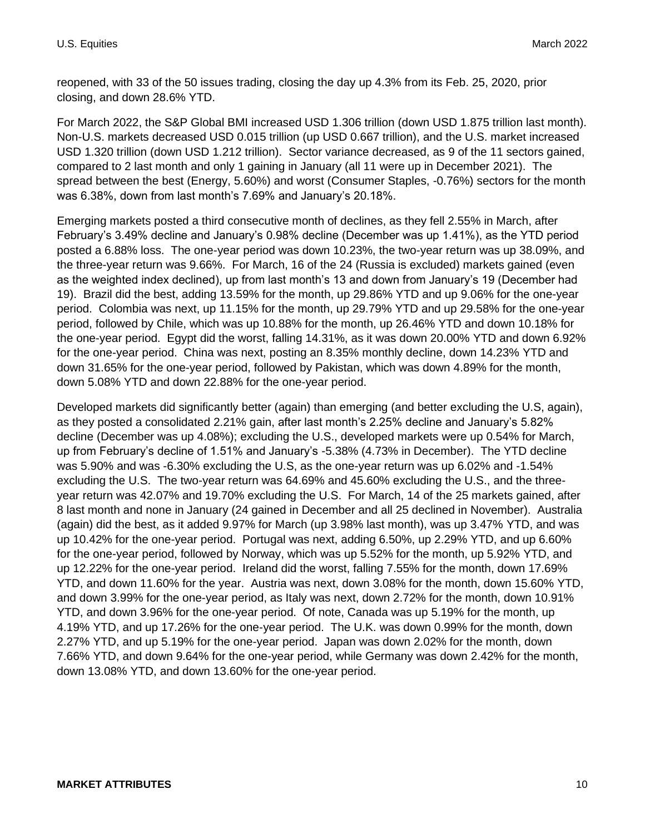reopened, with 33 of the 50 issues trading, closing the day up 4.3% from its Feb. 25, 2020, prior closing, and down 28.6% YTD.

For March 2022, the S&P Global BMI increased USD 1.306 trillion (down USD 1.875 trillion last month). Non-U.S. markets decreased USD 0.015 trillion (up USD 0.667 trillion), and the U.S. market increased USD 1.320 trillion (down USD 1.212 trillion). Sector variance decreased, as 9 of the 11 sectors gained, compared to 2 last month and only 1 gaining in January (all 11 were up in December 2021). The spread between the best (Energy, 5.60%) and worst (Consumer Staples, -0.76%) sectors for the month was 6.38%, down from last month's 7.69% and January's 20.18%.

Emerging markets posted a third consecutive month of declines, as they fell 2.55% in March, after February's 3.49% decline and January's 0.98% decline (December was up 1.41%), as the YTD period posted a 6.88% loss. The one-year period was down 10.23%, the two-year return was up 38.09%, and the three-year return was 9.66%. For March, 16 of the 24 (Russia is excluded) markets gained (even as the weighted index declined), up from last month's 13 and down from January's 19 (December had 19). Brazil did the best, adding 13.59% for the month, up 29.86% YTD and up 9.06% for the one-year period. Colombia was next, up 11.15% for the month, up 29.79% YTD and up 29.58% for the one-year period, followed by Chile, which was up 10.88% for the month, up 26.46% YTD and down 10.18% for the one-year period. Egypt did the worst, falling 14.31%, as it was down 20.00% YTD and down 6.92% for the one-year period. China was next, posting an 8.35% monthly decline, down 14.23% YTD and down 31.65% for the one-year period, followed by Pakistan, which was down 4.89% for the month, down 5.08% YTD and down 22.88% for the one-year period.

Developed markets did significantly better (again) than emerging (and better excluding the U.S, again), as they posted a consolidated 2.21% gain, after last month's 2.25% decline and January's 5.82% decline (December was up 4.08%); excluding the U.S., developed markets were up 0.54% for March, up from February's decline of 1.51% and January's -5.38% (4.73% in December). The YTD decline was 5.90% and was -6.30% excluding the U.S, as the one-year return was up 6.02% and -1.54% excluding the U.S. The two-year return was 64.69% and 45.60% excluding the U.S., and the threeyear return was 42.07% and 19.70% excluding the U.S. For March, 14 of the 25 markets gained, after 8 last month and none in January (24 gained in December and all 25 declined in November). Australia (again) did the best, as it added 9.97% for March (up 3.98% last month), was up 3.47% YTD, and was up 10.42% for the one-year period. Portugal was next, adding 6.50%, up 2.29% YTD, and up 6.60% for the one-year period, followed by Norway, which was up 5.52% for the month, up 5.92% YTD, and up 12.22% for the one-year period. Ireland did the worst, falling 7.55% for the month, down 17.69% YTD, and down 11.60% for the year. Austria was next, down 3.08% for the month, down 15.60% YTD, and down 3.99% for the one-year period, as Italy was next, down 2.72% for the month, down 10.91% YTD, and down 3.96% for the one-year period. Of note, Canada was up 5.19% for the month, up 4.19% YTD, and up 17.26% for the one-year period. The U.K. was down 0.99% for the month, down 2.27% YTD, and up 5.19% for the one-year period. Japan was down 2.02% for the month, down 7.66% YTD, and down 9.64% for the one-year period, while Germany was down 2.42% for the month, down 13.08% YTD, and down 13.60% for the one-year period.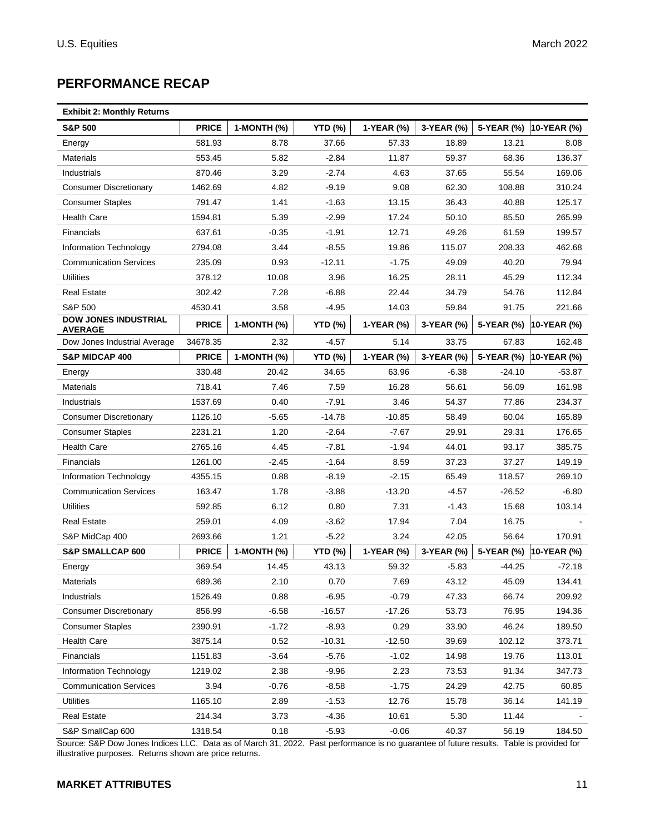# **PERFORMANCE RECAP**

| <b>Exhibit 2: Monthly Returns</b> |  |  |  |  |
|-----------------------------------|--|--|--|--|
|-----------------------------------|--|--|--|--|

| <b>S&amp;P 500</b>                            | <b>PRICE</b> | 1-MONTH (%) | <b>YTD (%)</b> | 1-YEAR (%) | 3-YEAR (%) | 5-YEAR (%) | 10-YEAR (%) |
|-----------------------------------------------|--------------|-------------|----------------|------------|------------|------------|-------------|
| Energy                                        | 581.93       | 8.78        | 37.66          | 57.33      | 18.89      | 13.21      | 8.08        |
| <b>Materials</b>                              | 553.45       | 5.82        | $-2.84$        | 11.87      | 59.37      | 68.36      | 136.37      |
| Industrials                                   | 870.46       | 3.29        | $-2.74$        | 4.63       | 37.65      | 55.54      | 169.06      |
| <b>Consumer Discretionary</b>                 | 1462.69      | 4.82        | $-9.19$        | 9.08       | 62.30      | 108.88     | 310.24      |
| <b>Consumer Staples</b>                       | 791.47       | 1.41        | $-1.63$        | 13.15      | 36.43      | 40.88      | 125.17      |
| <b>Health Care</b>                            | 1594.81      | 5.39        | $-2.99$        | 17.24      | 50.10      | 85.50      | 265.99      |
| <b>Financials</b>                             | 637.61       | $-0.35$     | $-1.91$        | 12.71      | 49.26      | 61.59      | 199.57      |
| Information Technology                        | 2794.08      | 3.44        | $-8.55$        | 19.86      | 115.07     | 208.33     | 462.68      |
| <b>Communication Services</b>                 | 235.09       | 0.93        | $-12.11$       | $-1.75$    | 49.09      | 40.20      | 79.94       |
| Utilities                                     | 378.12       | 10.08       | 3.96           | 16.25      | 28.11      | 45.29      | 112.34      |
| <b>Real Estate</b>                            | 302.42       | 7.28        | $-6.88$        | 22.44      | 34.79      | 54.76      | 112.84      |
| S&P 500                                       | 4530.41      | 3.58        | -4.95          | 14.03      | 59.84      | 91.75      | 221.66      |
| <b>DOW JONES INDUSTRIAL</b><br><b>AVERAGE</b> | <b>PRICE</b> | 1-MONTH (%) | <b>YTD (%)</b> | 1-YEAR (%) | 3-YEAR (%) | 5-YEAR (%) | 10-YEAR (%) |
| Dow Jones Industrial Average                  | 34678.35     | 2.32        | $-4.57$        | 5.14       | 33.75      | 67.83      | 162.48      |
| <b>S&amp;P MIDCAP 400</b>                     | <b>PRICE</b> | 1-MONTH (%) | <b>YTD (%)</b> | 1-YEAR (%) | 3-YEAR (%) | 5-YEAR (%) | 10-YEAR (%) |
| Energy                                        | 330.48       | 20.42       | 34.65          | 63.96      | $-6.38$    | $-24.10$   | $-53.87$    |
| <b>Materials</b>                              | 718.41       | 7.46        | 7.59           | 16.28      | 56.61      | 56.09      | 161.98      |
| Industrials                                   | 1537.69      | 0.40        | $-7.91$        | 3.46       | 54.37      | 77.86      | 234.37      |
| <b>Consumer Discretionary</b>                 | 1126.10      | $-5.65$     | $-14.78$       | $-10.85$   | 58.49      | 60.04      | 165.89      |
| <b>Consumer Staples</b>                       | 2231.21      | 1.20        | $-2.64$        | $-7.67$    | 29.91      | 29.31      | 176.65      |
| <b>Health Care</b>                            | 2765.16      | 4.45        | $-7.81$        | $-1.94$    | 44.01      | 93.17      | 385.75      |
| Financials                                    | 1261.00      | $-2.45$     | $-1.64$        | 8.59       | 37.23      | 37.27      | 149.19      |
| Information Technology                        | 4355.15      | 0.88        | $-8.19$        | $-2.15$    | 65.49      | 118.57     | 269.10      |
| <b>Communication Services</b>                 | 163.47       | 1.78        | $-3.88$        | $-13.20$   | $-4.57$    | $-26.52$   | $-6.80$     |
| <b>Utilities</b>                              | 592.85       | 6.12        | 0.80           | 7.31       | $-1.43$    | 15.68      | 103.14      |
| <b>Real Estate</b>                            | 259.01       | 4.09        | $-3.62$        | 17.94      | 7.04       | 16.75      |             |
| S&P MidCap 400                                | 2693.66      | 1.21        | $-5.22$        | 3.24       | 42.05      | 56.64      | 170.91      |
| <b>S&amp;P SMALLCAP 600</b>                   | <b>PRICE</b> | 1-MONTH (%) | <b>YTD (%)</b> | 1-YEAR (%) | 3-YEAR (%) | 5-YEAR (%) | 10-YEAR (%) |
| Energy                                        | 369.54       | 14.45       | 43.13          | 59.32      | $-5.83$    | $-44.25$   | $-72.18$    |
| <b>Materials</b>                              | 689.36       | 2.10        | 0.70           | 7.69       | 43.12      | 45.09      | 134.41      |
| Industrials                                   | 1526.49      | 0.88        | $-6.95$        | $-0.79$    | 47.33      | 66.74      | 209.92      |
| <b>Consumer Discretionary</b>                 | 856.99       | $-6.58$     | $-16.57$       | $-17.26$   | 53.73      | 76.95      | 194.36      |
| <b>Consumer Staples</b>                       | 2390.91      | $-1.72$     | $-8.93$        | 0.29       | 33.90      | 46.24      | 189.50      |
| <b>Health Care</b>                            | 3875.14      | 0.52        | $-10.31$       | $-12.50$   | 39.69      | 102.12     | 373.71      |
| Financials                                    | 1151.83      | $-3.64$     | $-5.76$        | $-1.02$    | 14.98      | 19.76      | 113.01      |
| <b>Information Technology</b>                 | 1219.02      | 2.38        | $-9.96$        | 2.23       | 73.53      | 91.34      | 347.73      |
| <b>Communication Services</b>                 | 3.94         | $-0.76$     | $-8.58$        | $-1.75$    | 24.29      | 42.75      | 60.85       |
| <b>Utilities</b>                              | 1165.10      | 2.89        | $-1.53$        | 12.76      | 15.78      | 36.14      | 141.19      |
| <b>Real Estate</b>                            | 214.34       | 3.73        | $-4.36$        | 10.61      | 5.30       | 11.44      |             |
| S&P SmallCap 600                              | 1318.54      | 0.18        | $-5.93$        | $-0.06$    | 40.37      | 56.19      | 184.50      |

Source: S&P Dow Jones Indices LLC. Data as of March 31, 2022. Past performance is no guarantee of future results. Table is provided for illustrative purposes. Returns shown are price returns.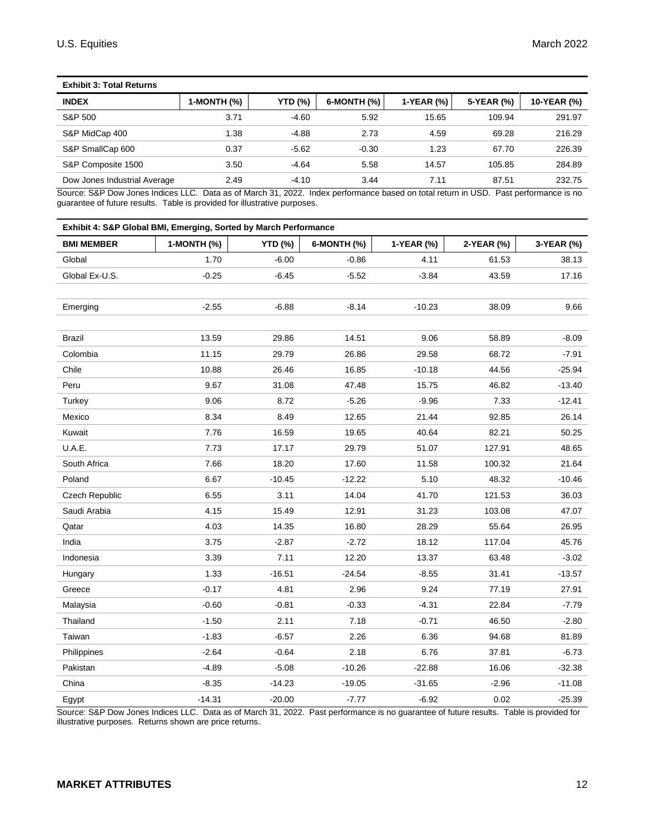| <b>Exhibit 3: Total Returns</b> |             |                |             |            |            |             |
|---------------------------------|-------------|----------------|-------------|------------|------------|-------------|
| <b>INDEX</b>                    | 1-MONTH (%) | <b>YTD (%)</b> | 6-MONTH (%) | 1-YEAR (%) | 5-YEAR (%) | 10-YEAR (%) |
| S&P 500                         | 3.71        | $-4.60$        | 5.92        | 15.65      | 109.94     | 291.97      |
| S&P MidCap 400                  | 1.38        | $-4.88$        | 2.73        | 4.59       | 69.28      | 216.29      |
| S&P SmallCap 600                | 0.37        | $-5.62$        | $-0.30$     | 1.23       | 67.70      | 226.39      |
| S&P Composite 1500              | 3.50        | $-4.64$        | 5.58        | 14.57      | 105.85     | 284.89      |
| Dow Jones Industrial Average    | 2.49        | $-4.10$        | 3.44        | 7.11       | 87.51      | 232.75      |

Source: S&P Dow Jones Indices LLC. Data as of March 31, 2022. Index performance based on total return in USD. Past performance is no guarantee of future results. Table is provided for illustrative purposes.

| Exhibit 4: S&P Global BMI, Emerging, Sorted by March Performance |             |                |             |            |            |            |
|------------------------------------------------------------------|-------------|----------------|-------------|------------|------------|------------|
| <b>BMI MEMBER</b>                                                | 1-MONTH (%) | <b>YTD (%)</b> | 6-MONTH (%) | 1-YEAR (%) | 2-YEAR (%) | 3-YEAR (%) |
| Global                                                           | 1.70        | $-6.00$        | $-0.86$     | 4.11       | 61.53      | 38.13      |
| Global Ex-U.S.                                                   | $-0.25$     | -6.45          | $-5.52$     | $-3.84$    | 43.59      | 17.16      |
|                                                                  |             |                |             |            |            |            |
| Emerging                                                         | $-2.55$     | $-6.88$        | $-8.14$     | $-10.23$   | 38.09      | 9.66       |
|                                                                  |             |                |             |            |            |            |
| Brazil                                                           | 13.59       | 29.86          | 14.51       | 9.06       | 58.89      | $-8.09$    |
| Colombia                                                         | 11.15       | 29.79          | 26.86       | 29.58      | 68.72      | $-7.91$    |
| Chile                                                            | 10.88       | 26.46          | 16.85       | $-10.18$   | 44.56      | $-25.94$   |
| Peru                                                             | 9.67        | 31.08          | 47.48       | 15.75      | 46.82      | $-13.40$   |
| Turkey                                                           | 9.06        | 8.72           | $-5.26$     | $-9.96$    | 7.33       | $-12.41$   |
| Mexico                                                           | 8.34        | 8.49           | 12.65       | 21.44      | 92.85      | 26.14      |
| Kuwait                                                           | 7.76        | 16.59          | 19.65       | 40.64      | 82.21      | 50.25      |
| U.A.E.                                                           | 7.73        | 17.17          | 29.79       | 51.07      | 127.91     | 48.65      |
| South Africa                                                     | 7.66        | 18.20          | 17.60       | 11.58      | 100.32     | 21.64      |
| Poland                                                           | 6.67        | $-10.45$       | $-12.22$    | 5.10       | 48.32      | $-10.46$   |
| Czech Republic                                                   | 6.55        | 3.11           | 14.04       | 41.70      | 121.53     | 36.03      |
| Saudi Arabia                                                     | 4.15        | 15.49          | 12.91       | 31.23      | 103.08     | 47.07      |
| Qatar                                                            | 4.03        | 14.35          | 16.80       | 28.29      | 55.64      | 26.95      |
| India                                                            | 3.75        | $-2.87$        | $-2.72$     | 18.12      | 117.04     | 45.76      |
| Indonesia                                                        | 3.39        | 7.11           | 12.20       | 13.37      | 63.48      | $-3.02$    |
| Hungary                                                          | 1.33        | $-16.51$       | $-24.54$    | $-8.55$    | 31.41      | $-13.57$   |
| Greece                                                           | $-0.17$     | 4.81           | 2.96        | 9.24       | 77.19      | 27.91      |
| Malaysia                                                         | $-0.60$     | $-0.81$        | $-0.33$     | $-4.31$    | 22.84      | $-7.79$    |
| Thailand                                                         | $-1.50$     | 2.11           | 7.18        | $-0.71$    | 46.50      | $-2.80$    |
| Taiwan                                                           | $-1.83$     | $-6.57$        | 2.26        | 6.36       | 94.68      | 81.89      |
| Philippines                                                      | $-2.64$     | $-0.64$        | 2.18        | 6.76       | 37.81      | $-6.73$    |
| Pakistan                                                         | $-4.89$     | $-5.08$        | $-10.26$    | $-22.88$   | 16.06      | $-32.38$   |
| China                                                            | $-8.35$     | $-14.23$       | $-19.05$    | $-31.65$   | $-2.96$    | $-11.08$   |
| Egypt                                                            | $-14.31$    | $-20.00$       | -7.77       | $-6.92$    | 0.02       | $-25.39$   |

Source: S&P Dow Jones Indices LLC. Data as of March 31, 2022. Past performance is no guarantee of future results. Table is provided for illustrative purposes. Returns shown are price returns.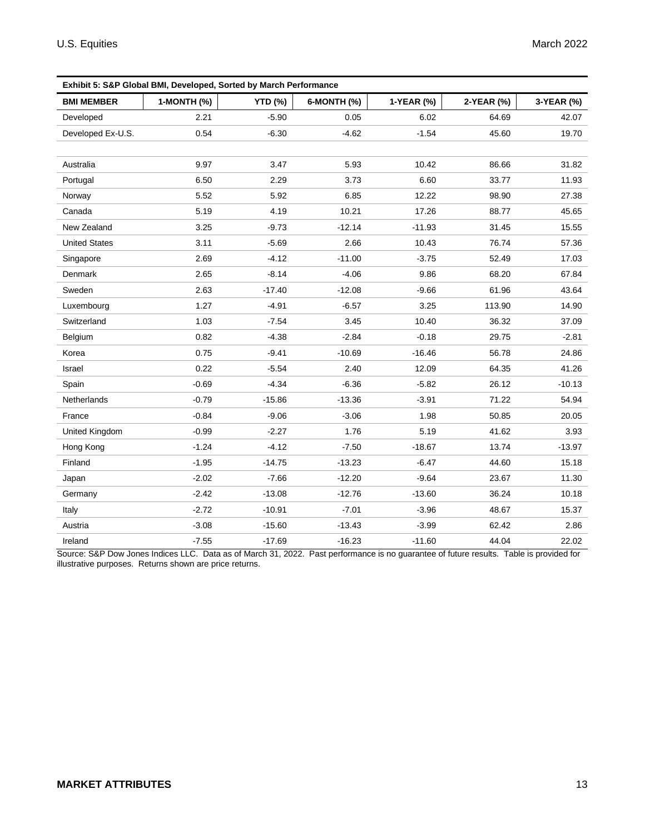| Exhibit 5: S&P Global BMI, Developed, Sorted by March Performance |             |                |             |            |            |            |
|-------------------------------------------------------------------|-------------|----------------|-------------|------------|------------|------------|
| <b>BMI MEMBER</b>                                                 | 1-MONTH (%) | <b>YTD (%)</b> | 6-MONTH (%) | 1-YEAR (%) | 2-YEAR (%) | 3-YEAR (%) |
| Developed                                                         | 2.21        | $-5.90$        | 0.05        | 6.02       | 64.69      | 42.07      |
| Developed Ex-U.S.                                                 | 0.54        | $-6.30$        | $-4.62$     | $-1.54$    | 45.60      | 19.70      |
|                                                                   |             |                |             |            |            |            |
| Australia                                                         | 9.97        | 3.47           | 5.93        | 10.42      | 86.66      | 31.82      |
| Portugal                                                          | 6.50        | 2.29           | 3.73        | 6.60       | 33.77      | 11.93      |
| Norway                                                            | 5.52        | 5.92           | 6.85        | 12.22      | 98.90      | 27.38      |
| Canada                                                            | 5.19        | 4.19           | 10.21       | 17.26      | 88.77      | 45.65      |
| New Zealand                                                       | 3.25        | $-9.73$        | $-12.14$    | $-11.93$   | 31.45      | 15.55      |
| <b>United States</b>                                              | 3.11        | $-5.69$        | 2.66        | 10.43      | 76.74      | 57.36      |
| Singapore                                                         | 2.69        | $-4.12$        | $-11.00$    | $-3.75$    | 52.49      | 17.03      |
| Denmark                                                           | 2.65        | $-8.14$        | $-4.06$     | 9.86       | 68.20      | 67.84      |
| Sweden                                                            | 2.63        | $-17.40$       | $-12.08$    | $-9.66$    | 61.96      | 43.64      |
| Luxembourg                                                        | 1.27        | $-4.91$        | $-6.57$     | 3.25       | 113.90     | 14.90      |
| Switzerland                                                       | 1.03        | $-7.54$        | 3.45        | 10.40      | 36.32      | 37.09      |
| Belgium                                                           | 0.82        | $-4.38$        | $-2.84$     | $-0.18$    | 29.75      | $-2.81$    |
| Korea                                                             | 0.75        | $-9.41$        | $-10.69$    | $-16.46$   | 56.78      | 24.86      |
| Israel                                                            | 0.22        | $-5.54$        | 2.40        | 12.09      | 64.35      | 41.26      |
| Spain                                                             | $-0.69$     | $-4.34$        | $-6.36$     | $-5.82$    | 26.12      | $-10.13$   |
| Netherlands                                                       | $-0.79$     | $-15.86$       | $-13.36$    | $-3.91$    | 71.22      | 54.94      |
| France                                                            | $-0.84$     | $-9.06$        | $-3.06$     | 1.98       | 50.85      | 20.05      |
| United Kingdom                                                    | $-0.99$     | $-2.27$        | 1.76        | 5.19       | 41.62      | 3.93       |
| Hong Kong                                                         | $-1.24$     | $-4.12$        | $-7.50$     | $-18.67$   | 13.74      | $-13.97$   |
| Finland                                                           | $-1.95$     | $-14.75$       | $-13.23$    | $-6.47$    | 44.60      | 15.18      |
| Japan                                                             | $-2.02$     | $-7.66$        | $-12.20$    | $-9.64$    | 23.67      | 11.30      |
| Germany                                                           | $-2.42$     | $-13.08$       | $-12.76$    | $-13.60$   | 36.24      | 10.18      |
| Italy                                                             | $-2.72$     | $-10.91$       | $-7.01$     | $-3.96$    | 48.67      | 15.37      |
| Austria                                                           | $-3.08$     | $-15.60$       | $-13.43$    | $-3.99$    | 62.42      | 2.86       |
| Ireland                                                           | $-7.55$     | $-17.69$       | $-16.23$    | $-11.60$   | 44.04      | 22.02      |

Source: S&P Dow Jones Indices LLC. Data as of March 31, 2022. Past performance is no guarantee of future results. Table is provided for illustrative purposes. Returns shown are price returns.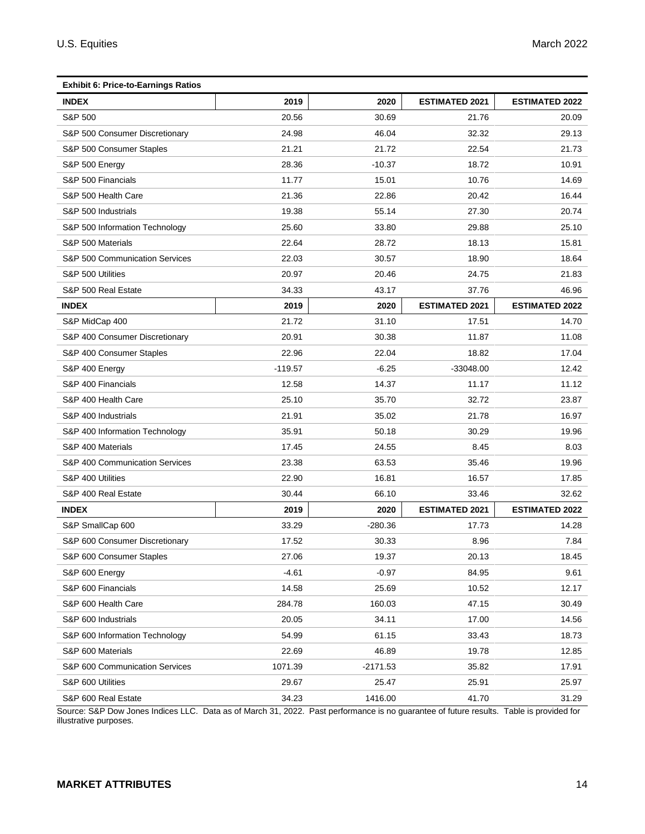| <b>Exhibit 6: Price-to-Earnings Ratios</b> |           |            |                       |                       |
|--------------------------------------------|-----------|------------|-----------------------|-----------------------|
| <b>INDEX</b>                               | 2019      | 2020       | <b>ESTIMATED 2021</b> | <b>ESTIMATED 2022</b> |
| S&P 500                                    | 20.56     | 30.69      | 21.76                 | 20.09                 |
| S&P 500 Consumer Discretionary             | 24.98     | 46.04      | 32.32                 | 29.13                 |
| S&P 500 Consumer Staples                   | 21.21     | 21.72      | 22.54                 | 21.73                 |
| S&P 500 Energy                             | 28.36     | $-10.37$   | 18.72                 | 10.91                 |
| S&P 500 Financials                         | 11.77     | 15.01      | 10.76                 | 14.69                 |
| S&P 500 Health Care                        | 21.36     | 22.86      | 20.42                 | 16.44                 |
| S&P 500 Industrials                        | 19.38     | 55.14      | 27.30                 | 20.74                 |
| S&P 500 Information Technology             | 25.60     | 33.80      | 29.88                 | 25.10                 |
| S&P 500 Materials                          | 22.64     | 28.72      | 18.13                 | 15.81                 |
| S&P 500 Communication Services             | 22.03     | 30.57      | 18.90                 | 18.64                 |
| S&P 500 Utilities                          | 20.97     | 20.46      | 24.75                 | 21.83                 |
| S&P 500 Real Estate                        | 34.33     | 43.17      | 37.76                 | 46.96                 |
| <b>INDEX</b>                               | 2019      | 2020       | <b>ESTIMATED 2021</b> | <b>ESTIMATED 2022</b> |
| S&P MidCap 400                             | 21.72     | 31.10      | 17.51                 | 14.70                 |
| S&P 400 Consumer Discretionary             | 20.91     | 30.38      | 11.87                 | 11.08                 |
| S&P 400 Consumer Staples                   | 22.96     | 22.04      | 18.82                 | 17.04                 |
| S&P 400 Energy                             | $-119.57$ | $-6.25$    | $-33048.00$           | 12.42                 |
| S&P 400 Financials                         | 12.58     | 14.37      | 11.17                 | 11.12                 |
| S&P 400 Health Care                        | 25.10     | 35.70      | 32.72                 | 23.87                 |
| S&P 400 Industrials                        | 21.91     | 35.02      | 21.78                 | 16.97                 |
| S&P 400 Information Technology             | 35.91     | 50.18      | 30.29                 | 19.96                 |
| S&P 400 Materials                          | 17.45     | 24.55      | 8.45                  | 8.03                  |
| S&P 400 Communication Services             | 23.38     | 63.53      | 35.46                 | 19.96                 |
| S&P 400 Utilities                          | 22.90     | 16.81      | 16.57                 | 17.85                 |
| S&P 400 Real Estate                        | 30.44     | 66.10      | 33.46                 | 32.62                 |
| <b>INDEX</b>                               | 2019      | 2020       | <b>ESTIMATED 2021</b> | <b>ESTIMATED 2022</b> |
| S&P SmallCap 600                           | 33.29     | $-280.36$  | 17.73                 | 14.28                 |
| S&P 600 Consumer Discretionary             | 17.52     | 30.33      | 8.96                  | 7.84                  |
| S&P 600 Consumer Staples                   | 27.06     | 19.37      | 20.13                 | 18.45                 |
| S&P 600 Energy                             | $-4.61$   | $-0.97$    | 84.95                 | 9.61                  |
| S&P 600 Financials                         | 14.58     | 25.69      | 10.52                 | 12.17                 |
| S&P 600 Health Care                        | 284.78    | 160.03     | 47.15                 | 30.49                 |
| S&P 600 Industrials                        | 20.05     | 34.11      | 17.00                 | 14.56                 |
| S&P 600 Information Technology             | 54.99     | 61.15      | 33.43                 | 18.73                 |
| S&P 600 Materials                          | 22.69     | 46.89      | 19.78                 | 12.85                 |
| S&P 600 Communication Services             | 1071.39   | $-2171.53$ | 35.82                 | 17.91                 |
| S&P 600 Utilities                          | 29.67     | 25.47      | 25.91                 | 25.97                 |
| S&P 600 Real Estate                        | 34.23     | 1416.00    | 41.70                 | 31.29                 |

Source: S&P Dow Jones Indices LLC. Data as of March 31, 2022. Past performance is no guarantee of future results. Table is provided for illustrative purposes.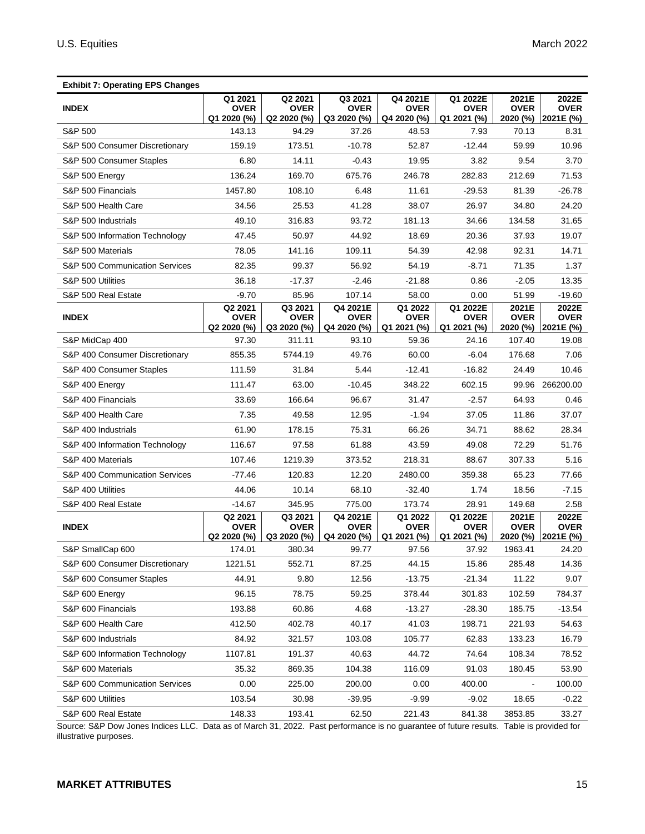| <b>Exhibit 7: Operating EPS Changes</b> |                                       |                                       |                                        |                                       |                                        |                                  |                                   |
|-----------------------------------------|---------------------------------------|---------------------------------------|----------------------------------------|---------------------------------------|----------------------------------------|----------------------------------|-----------------------------------|
| <b>INDEX</b>                            | Q1 2021<br><b>OVER</b><br>Q1 2020 (%) | Q2 2021<br><b>OVER</b><br>Q2 2020 (%) | Q3 2021<br><b>OVER</b><br>Q32020(%)    | Q4 2021E<br>OVER<br>Q4 2020 (%)       | Q1 2022E<br><b>OVER</b><br>Q1 2021 (%) | 2021E<br><b>OVER</b><br>2020 (%) | 2022E<br><b>OVER</b><br>2021E (%) |
| S&P 500                                 | 143.13                                | 94.29                                 | 37.26                                  | 48.53                                 | 7.93                                   | 70.13                            | 8.31                              |
| S&P 500 Consumer Discretionary          | 159.19                                | 173.51                                | $-10.78$                               | 52.87                                 | $-12.44$                               | 59.99                            | 10.96                             |
| S&P 500 Consumer Staples                | 6.80                                  | 14.11                                 | $-0.43$                                | 19.95                                 | 3.82                                   | 9.54                             | 3.70                              |
| S&P 500 Energy                          | 136.24                                | 169.70                                | 675.76                                 | 246.78                                | 282.83                                 | 212.69                           | 71.53                             |
| S&P 500 Financials                      | 1457.80                               | 108.10                                | 6.48                                   | 11.61                                 | $-29.53$                               | 81.39                            | $-26.78$                          |
| S&P 500 Health Care                     | 34.56                                 | 25.53                                 | 41.28                                  | 38.07                                 | 26.97                                  | 34.80                            | 24.20                             |
| S&P 500 Industrials                     | 49.10                                 | 316.83                                | 93.72                                  | 181.13                                | 34.66                                  | 134.58                           | 31.65                             |
| S&P 500 Information Technology          | 47.45                                 | 50.97                                 | 44.92                                  | 18.69                                 | 20.36                                  | 37.93                            | 19.07                             |
| S&P 500 Materials                       | 78.05                                 | 141.16                                | 109.11                                 | 54.39                                 | 42.98                                  | 92.31                            | 14.71                             |
| S&P 500 Communication Services          | 82.35                                 | 99.37                                 | 56.92                                  | 54.19                                 | -8.71                                  | 71.35                            | 1.37                              |
| S&P 500 Utilities                       | 36.18                                 | $-17.37$                              | $-2.46$                                | $-21.88$                              | 0.86                                   | $-2.05$                          | 13.35                             |
| S&P 500 Real Estate                     | $-9.70$                               | 85.96                                 | 107.14                                 | 58.00                                 | 0.00                                   | 51.99                            | $-19.60$                          |
| <b>INDEX</b>                            | Q2 2021<br><b>OVER</b><br>Q2 2020 (%) | Q3 2021<br><b>OVER</b><br>Q3 2020 (%) | Q4 2021E<br><b>OVER</b><br>Q4 2020 (%) | Q1 2022<br><b>OVER</b><br>Q1 2021 (%) | Q1 2022E<br><b>OVER</b><br>Q1 2021 (%) | 2021E<br><b>OVER</b><br>2020 (%) | 2022E<br><b>OVER</b><br>2021E (%) |
| S&P MidCap 400                          | 97.30                                 | 311.11                                | 93.10                                  | 59.36                                 | 24.16                                  | 107.40                           | 19.08                             |
| S&P 400 Consumer Discretionary          | 855.35                                | 5744.19                               | 49.76                                  | 60.00                                 | $-6.04$                                | 176.68                           | 7.06                              |
| S&P 400 Consumer Staples                | 111.59                                | 31.84                                 | 5.44                                   | $-12.41$                              | $-16.82$                               | 24.49                            | 10.46                             |
| S&P 400 Energy                          | 111.47                                | 63.00                                 | $-10.45$                               | 348.22                                | 602.15                                 | 99.96                            | 266200.00                         |
| S&P 400 Financials                      | 33.69                                 | 166.64                                | 96.67                                  | 31.47                                 | $-2.57$                                | 64.93                            | 0.46                              |
| S&P 400 Health Care                     | 7.35                                  | 49.58                                 | 12.95                                  | $-1.94$                               | 37.05                                  | 11.86                            | 37.07                             |
| S&P 400 Industrials                     | 61.90                                 | 178.15                                | 75.31                                  | 66.26                                 | 34.71                                  | 88.62                            | 28.34                             |
| S&P 400 Information Technology          | 116.67                                | 97.58                                 | 61.88                                  | 43.59                                 | 49.08                                  | 72.29                            | 51.76                             |
| S&P 400 Materials                       | 107.46                                | 1219.39                               | 373.52                                 | 218.31                                | 88.67                                  | 307.33                           | 5.16                              |
| S&P 400 Communication Services          | $-77.46$                              | 120.83                                | 12.20                                  | 2480.00                               | 359.38                                 | 65.23                            | 77.66                             |
| S&P 400 Utilities                       | 44.06                                 | 10.14                                 | 68.10                                  | $-32.40$                              | 1.74                                   | 18.56                            | $-7.15$                           |
| S&P 400 Real Estate                     | $-14.67$                              | 345.95                                | 775.00                                 | 173.74                                | 28.91                                  | 149.68                           | 2.58                              |
| <b>INDEX</b>                            | Q2 2021<br><b>OVER</b><br>Q2 2020 (%) | Q3 2021<br><b>OVER</b><br>Q3 2020 (%) | Q4 2021E<br><b>OVER</b><br>Q4 2020 (%) | Q1 2022<br><b>OVER</b><br>Q1 2021 (%) | Q1 2022E<br><b>OVER</b><br>Q1 2021 (%) | 2021E<br><b>OVER</b><br>2020 (%) | 2022E<br><b>OVER</b><br>2021E (%) |
| S&P SmallCap 600                        | 174.01                                | 380.34                                | 99.77                                  | 97.56                                 | 37.92                                  | 1963.41                          | 24.20                             |
| S&P 600 Consumer Discretionary          | 1221.51                               | 552.71                                | 87.25                                  | 44.15                                 | 15.86                                  | 285.48                           | 14.36                             |
| S&P 600 Consumer Staples                | 44.91                                 | 9.80                                  | 12.56                                  | -13.75                                | $-21.34$                               | 11.22                            | 9.07                              |
| S&P 600 Energy                          | 96.15                                 | 78.75                                 | 59.25                                  | 378.44                                | 301.83                                 | 102.59                           | 784.37                            |
| S&P 600 Financials                      | 193.88                                | 60.86                                 | 4.68                                   | $-13.27$                              | $-28.30$                               | 185.75                           | $-13.54$                          |
| S&P 600 Health Care                     | 412.50                                | 402.78                                | 40.17                                  | 41.03                                 | 198.71                                 | 221.93                           | 54.63                             |
| S&P 600 Industrials                     | 84.92                                 | 321.57                                | 103.08                                 | 105.77                                | 62.83                                  | 133.23                           | 16.79                             |
| S&P 600 Information Technology          | 1107.81                               | 191.37                                | 40.63                                  | 44.72                                 | 74.64                                  | 108.34                           | 78.52                             |
| S&P 600 Materials                       | 35.32                                 | 869.35                                | 104.38                                 | 116.09                                | 91.03                                  | 180.45                           | 53.90                             |
| S&P 600 Communication Services          | 0.00                                  | 225.00                                | 200.00                                 | 0.00                                  | 400.00                                 |                                  | 100.00                            |
| S&P 600 Utilities                       | 103.54                                | 30.98                                 | $-39.95$                               | $-9.99$                               | $-9.02$                                | 18.65                            | $-0.22$                           |
| S&P 600 Real Estate                     | 148.33                                | 193.41                                | 62.50                                  | 221.43                                | 841.38                                 | 3853.85                          | 33.27                             |

Source: S&P Dow Jones Indices LLC. Data as of March 31, 2022. Past performance is no guarantee of future results. Table is provided for illustrative purposes.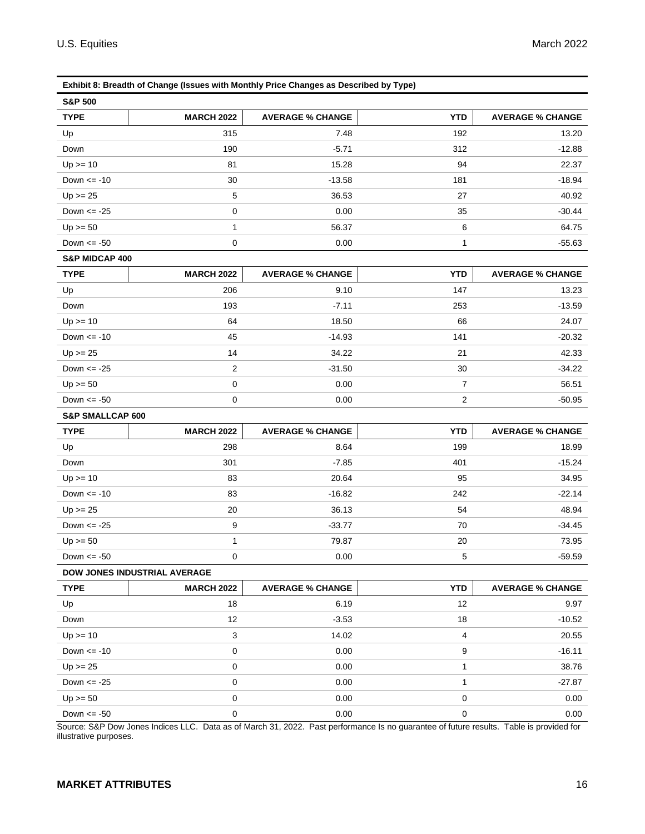| <b>S&amp;P 500</b>          |                                                                                                                                              |                         |                |                         |
|-----------------------------|----------------------------------------------------------------------------------------------------------------------------------------------|-------------------------|----------------|-------------------------|
| <b>TYPE</b>                 | <b>MARCH 2022</b>                                                                                                                            | <b>AVERAGE % CHANGE</b> | <b>YTD</b>     | <b>AVERAGE % CHANGE</b> |
| Up                          | 315                                                                                                                                          | 7.48                    | 192            | 13.20                   |
| Down                        | 190                                                                                                                                          | $-5.71$                 | 312            | $-12.88$                |
| $Up \ge 10$                 | 81                                                                                                                                           | 15.28                   | 94             | 22.37                   |
| Down $\le$ -10              | 30                                                                                                                                           | $-13.58$                | 181            | $-18.94$                |
| $Up \ge 25$                 | 5                                                                                                                                            | 36.53                   | 27             | 40.92                   |
| Down $\le$ -25              | 0                                                                                                                                            | 0.00                    | 35             | $-30.44$                |
| $Up \ge 50$                 | 1                                                                                                                                            | 56.37                   | 6              | 64.75                   |
| Down $\le$ -50              | 0                                                                                                                                            | 0.00                    | 1              | $-55.63$                |
| <b>S&amp;P MIDCAP 400</b>   |                                                                                                                                              |                         |                |                         |
| <b>TYPE</b>                 | <b>MARCH 2022</b>                                                                                                                            | <b>AVERAGE % CHANGE</b> | <b>YTD</b>     | <b>AVERAGE % CHANGE</b> |
| Up                          | 206                                                                                                                                          | 9.10                    | 147            | 13.23                   |
| Down                        | 193                                                                                                                                          | $-7.11$                 | 253            | $-13.59$                |
| $Up \ge 10$                 | 64                                                                                                                                           | 18.50                   | 66             | 24.07                   |
| Down $\le$ -10              | 45                                                                                                                                           | $-14.93$                | 141            | $-20.32$                |
| $Up \ge 25$                 | 14                                                                                                                                           | 34.22                   | 21             | 42.33                   |
| Down $\le$ -25              | 2                                                                                                                                            | $-31.50$                | 30             | $-34.22$                |
| $Up \ge 50$                 | $\pmb{0}$                                                                                                                                    | 0.00                    | 7              | 56.51                   |
| Down $\le$ -50              | 0                                                                                                                                            | 0.00                    | 2              | $-50.95$                |
| <b>S&amp;P SMALLCAP 600</b> |                                                                                                                                              |                         |                |                         |
| <b>TYPE</b>                 | <b>MARCH 2022</b>                                                                                                                            | <b>AVERAGE % CHANGE</b> | <b>YTD</b>     | <b>AVERAGE % CHANGE</b> |
| Up                          | 298                                                                                                                                          | 8.64                    | 199            | 18.99                   |
| Down                        | 301                                                                                                                                          | $-7.85$                 | 401            | $-15.24$                |
| $Up \ge 10$                 | 83                                                                                                                                           | 20.64                   | 95             | 34.95                   |
| Down $\le$ -10              | 83                                                                                                                                           | $-16.82$                | 242            | $-22.14$                |
| $Up \ge 25$                 | 20                                                                                                                                           | 36.13                   | 54             | 48.94                   |
| Down $\le$ -25              | $9\,$                                                                                                                                        | $-33.77$                | 70             | $-34.45$                |
| $Up \ge 50$                 | 1                                                                                                                                            | 79.87                   | 20             | 73.95                   |
| Down $\le$ -50              | 0                                                                                                                                            | 0.00                    | 5              | $-59.59$                |
|                             | DOW JONES INDUSTRIAL AVERAGE                                                                                                                 |                         |                |                         |
| <b>TYPE</b>                 | <b>MARCH 2022</b>                                                                                                                            | <b>AVERAGE % CHANGE</b> | <b>YTD</b>     | <b>AVERAGE % CHANGE</b> |
| Up                          | 18                                                                                                                                           | 6.19                    | 12             | 9.97                    |
| Down                        | 12                                                                                                                                           | $-3.53$                 | 18             | $-10.52$                |
| $Up \ge 10$                 | 3                                                                                                                                            | 14.02                   | $\overline{4}$ | 20.55                   |
| Down $\le$ -10              | 0                                                                                                                                            | 0.00                    | 9              | $-16.11$                |
| $Up >= 25$                  |                                                                                                                                              | 0.00                    | 1              | 38.76                   |
|                             | 0                                                                                                                                            |                         |                |                         |
| Down $\le$ -25              | 0                                                                                                                                            | 0.00                    | 1              | $-27.87$                |
| $Up >= 50$                  | $\mathbf 0$                                                                                                                                  | 0.00                    | $\mathbf 0$    | 0.00                    |
| Down $\le$ -50              | 0<br>Source: S&P Dow Jones Indices LLC. Data as of March 31, 2022. Past performance Is no guarantee of future results. Table is provided for | 0.00                    | 0              | 0.00                    |

U.S. Equities March 2022

**Exhibit 8: Breadth of Change (Issues with Monthly Price Changes as Described by Type)**

illustrative purposes.